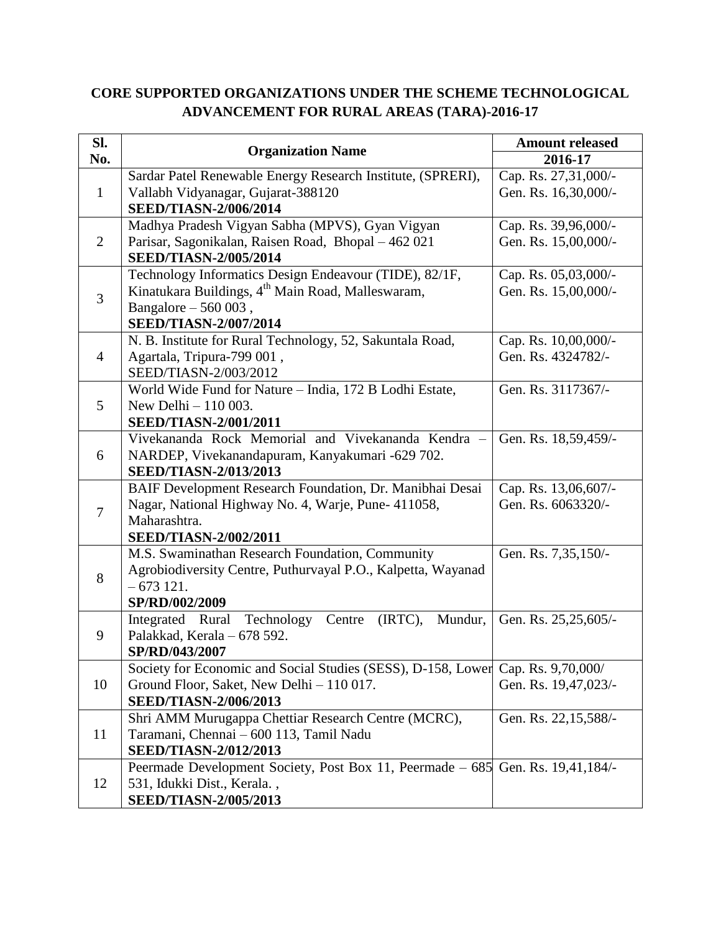## **CORE SUPPORTED ORGANIZATIONS UNDER THE SCHEME TECHNOLOGICAL ADVANCEMENT FOR RURAL AREAS (TARA)-2016-17**

| SI.            | <b>Organization Name</b>                                                       | <b>Amount released</b> |
|----------------|--------------------------------------------------------------------------------|------------------------|
| No.            |                                                                                | 2016-17                |
| $\mathbf{1}$   | Sardar Patel Renewable Energy Research Institute, (SPRERI),                    | Cap. Rs. 27,31,000/-   |
|                | Vallabh Vidyanagar, Gujarat-388120                                             | Gen. Rs. 16,30,000/-   |
|                | <b>SEED/TIASN-2/006/2014</b>                                                   |                        |
| $\overline{2}$ | Madhya Pradesh Vigyan Sabha (MPVS), Gyan Vigyan                                | Cap. Rs. 39,96,000/-   |
|                | Parisar, Sagonikalan, Raisen Road, Bhopal – 462 021                            | Gen. Rs. 15,00,000/-   |
|                | <b>SEED/TIASN-2/005/2014</b>                                                   |                        |
| $\overline{3}$ | Technology Informatics Design Endeavour (TIDE), 82/1F,                         | Cap. Rs. 05,03,000/-   |
|                | Kinatukara Buildings, 4 <sup>th</sup> Main Road, Malleswaram,                  | Gen. Rs. 15,00,000/-   |
|                | Bangalore - 560 003,                                                           |                        |
|                | <b>SEED/TIASN-2/007/2014</b>                                                   |                        |
| $\overline{4}$ | N. B. Institute for Rural Technology, 52, Sakuntala Road,                      | Cap. Rs. 10,00,000/-   |
|                | Agartala, Tripura-799 001,                                                     | Gen. Rs. 4324782/-     |
|                | SEED/TIASN-2/003/2012                                                          |                        |
|                | World Wide Fund for Nature - India, 172 B Lodhi Estate,                        | Gen. Rs. 3117367/-     |
| 5              | New Delhi - 110 003.                                                           |                        |
|                | <b>SEED/TIASN-2/001/2011</b>                                                   |                        |
|                | Vivekananda Rock Memorial and Vivekananda Kendra -                             | Gen. Rs. 18,59,459/-   |
| 6              | NARDEP, Vivekanandapuram, Kanyakumari -629 702.                                |                        |
|                | <b>SEED/TIASN-2/013/2013</b>                                                   |                        |
|                | BAIF Development Research Foundation, Dr. Manibhai Desai                       | Cap. Rs. 13,06,607/-   |
| $\overline{7}$ | Nagar, National Highway No. 4, Warje, Pune- 411058,                            | Gen. Rs. 6063320/-     |
|                | Maharashtra.                                                                   |                        |
|                | <b>SEED/TIASN-2/002/2011</b>                                                   |                        |
|                | M.S. Swaminathan Research Foundation, Community                                | Gen. Rs. 7,35,150/-    |
| 8              | Agrobiodiversity Centre, Puthurvayal P.O., Kalpetta, Wayanad                   |                        |
|                | $-673121.$                                                                     |                        |
|                | SP/RD/002/2009                                                                 |                        |
| 9              | (IRTC),<br>Integrated Rural<br>Technology<br>Mundur,<br>Centre                 | Gen. Rs. 25,25,605/-   |
|                | Palakkad, Kerala - 678 592.                                                    |                        |
|                | SP/RD/043/2007                                                                 |                        |
| 10             | Society for Economic and Social Studies (SESS), D-158, Lower                   | Cap. Rs. 9,70,000/     |
|                | Ground Floor, Saket, New Delhi - 110 017.                                      | Gen. Rs. 19,47,023/-   |
|                | <b>SEED/TIASN-2/006/2013</b>                                                   |                        |
| 11             | Shri AMM Murugappa Chettiar Research Centre (MCRC),                            | Gen. Rs. 22,15,588/-   |
|                | Taramani, Chennai - 600 113, Tamil Nadu                                        |                        |
|                | <b>SEED/TIASN-2/012/2013</b>                                                   |                        |
| 12             | Peermade Development Society, Post Box 11, Peermade – 685 Gen. Rs. 19,41,184/- |                        |
|                | 531, Idukki Dist., Kerala.,                                                    |                        |
|                | <b>SEED/TIASN-2/005/2013</b>                                                   |                        |